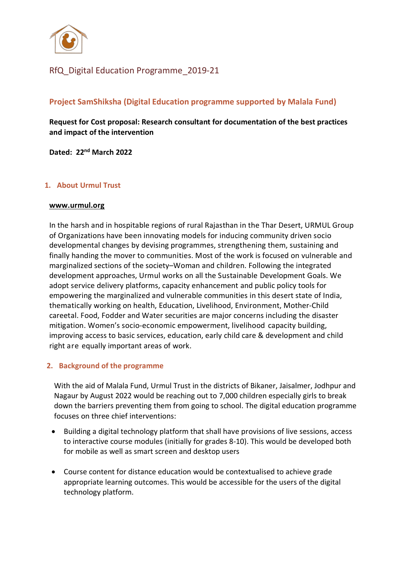

## RfQ\_Digital Education Programme\_2019-21

### **Project SamShiksha (Digital Education programme supported by Malala Fund)**

**Request for Cost proposal: Research consultant for documentation of the best practices and impact of the intervention**

**Dated: 22nd March 2022**

### **1. About Urmul Trust**

#### **[www.urmul.org](http://www.urmul.org/)**

In the harsh and in hospitable regions of rural Rajasthan in the Thar Desert, URMUL Group of Organizations have been innovating models for inducing community driven socio developmental changes by devising programmes, strengthening them, sustaining and finally handing the mover to communities. Most of the work is focused on vulnerable and marginalized sections of the society–Woman and children. Following the integrated development approaches, Urmul works on all the Sustainable Development Goals. We adopt service delivery platforms, capacity enhancement and public policy tools for empowering the marginalized and vulnerable communities in this desert state of India, thematically working on health, Education, Livelihood, Environment, Mother-Child careetal. Food, Fodder and Water securities are major concerns including the disaster mitigation. Women's socio-economic empowerment, livelihood capacity building, improving access to basic services, education, early child care & development and child right are equally important areas of work.

#### **2. Background of the programme**

With the aid of Malala Fund, Urmul Trust in the districts of Bikaner, Jaisalmer, Jodhpur and Nagaur by August 2022 would be reaching out to 7,000 children especially girls to break down the barriers preventing them from going to school. The digital education programme focuses on three chief interventions:

- Building a digital technology platform that shall have provisions of live sessions, access to interactive course modules (initially for grades 8-10). This would be developed both for mobile as well as smart screen and desktop users
- Course content for distance education would be contextualised to achieve grade appropriate learning outcomes. This would be accessible for the users of the digital technology platform.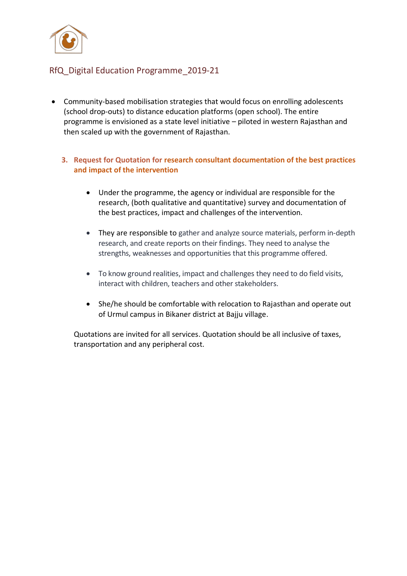

## RfQ\_Digital Education Programme\_2019-21

- Community-based mobilisation strategies that would focus on enrolling adolescents (school drop-outs) to distance education platforms (open school). The entire programme is envisioned as a state level initiative – piloted in western Rajasthan and then scaled up with the government of Rajasthan.
	- **3. Request for Quotation for research consultant documentation of the best practices and impact of the intervention**
		- Under the programme, the agency or individual are responsible for the research, (both qualitative and quantitative) survey and documentation of the best practices, impact and challenges of the intervention.
		- They are responsible to gather and analyze source materials, perform in-depth research, and create reports on their findings. They need to analyse the strengths, weaknesses and opportunities that this programme offered.
		- To know ground realities, impact and challenges they need to do field visits, interact with children, teachers and other stakeholders.
		- She/he should be comfortable with relocation to Rajasthan and operate out of Urmul campus in Bikaner district at Bajju village.

Quotations are invited for all services. Quotation should be all inclusive of taxes, transportation and any peripheral cost.